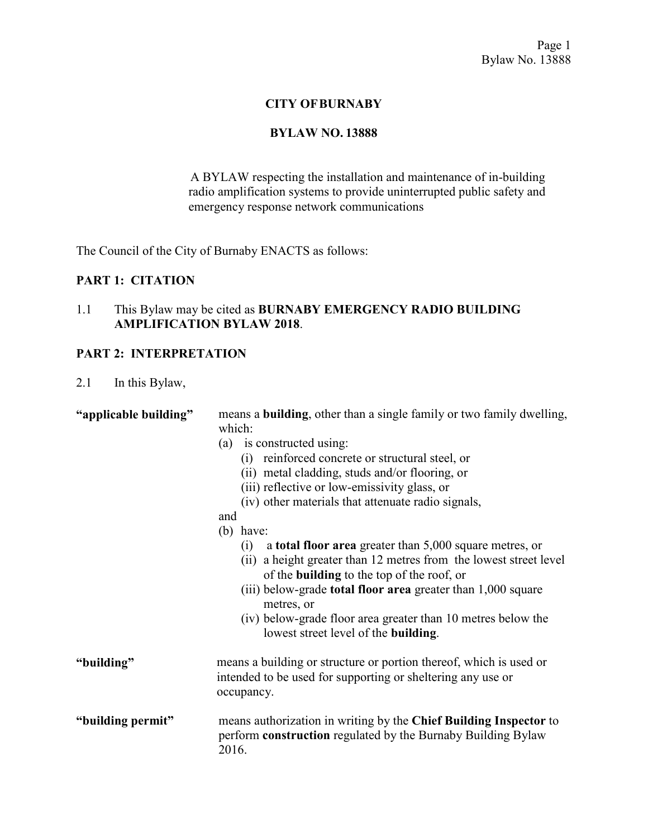## **CITY OF BURNABY**

#### **BYLAW NO. 13888**

A BYLAW respecting the installation and maintenance of in-building radio amplification systems to provide uninterrupted public safety and emergency response network communications

The Council of the City of Burnaby ENACTS as follows:

## **PART 1: CITATION**

# 1.1 This Bylaw may be cited as **BURNABY EMERGENCY RADIO BUILDING AMPLIFICATION BYLAW 2018**.

### **PART 2: INTERPRETATION**

2.1 In this Bylaw,

| "applicable building" | means a <b>building</b> , other than a single family or two family dwelling,                                                                    |  |  |  |
|-----------------------|-------------------------------------------------------------------------------------------------------------------------------------------------|--|--|--|
|                       | which:                                                                                                                                          |  |  |  |
|                       | (a) is constructed using:                                                                                                                       |  |  |  |
|                       | (i) reinforced concrete or structural steel, or                                                                                                 |  |  |  |
|                       | (ii) metal cladding, studs and/or flooring, or                                                                                                  |  |  |  |
|                       | (iii) reflective or low-emissivity glass, or                                                                                                    |  |  |  |
|                       | (iv) other materials that attenuate radio signals,                                                                                              |  |  |  |
|                       | and                                                                                                                                             |  |  |  |
|                       | $(b)$ have:                                                                                                                                     |  |  |  |
|                       | a <b>total floor area</b> greater than 5,000 square metres, or<br>(1)                                                                           |  |  |  |
|                       | (ii) a height greater than 12 metres from the lowest street level<br>of the <b>building</b> to the top of the roof, or                          |  |  |  |
|                       | (iii) below-grade <b>total floor area</b> greater than 1,000 square<br>metres, or                                                               |  |  |  |
|                       | (iv) below-grade floor area greater than 10 metres below the<br>lowest street level of the building.                                            |  |  |  |
| "building"            | means a building or structure or portion thereof, which is used or<br>intended to be used for supporting or sheltering any use or<br>occupancy. |  |  |  |
| "building permit"     | means authorization in writing by the Chief Building Inspector to<br>perform construction regulated by the Burnaby Building Bylaw<br>2016.      |  |  |  |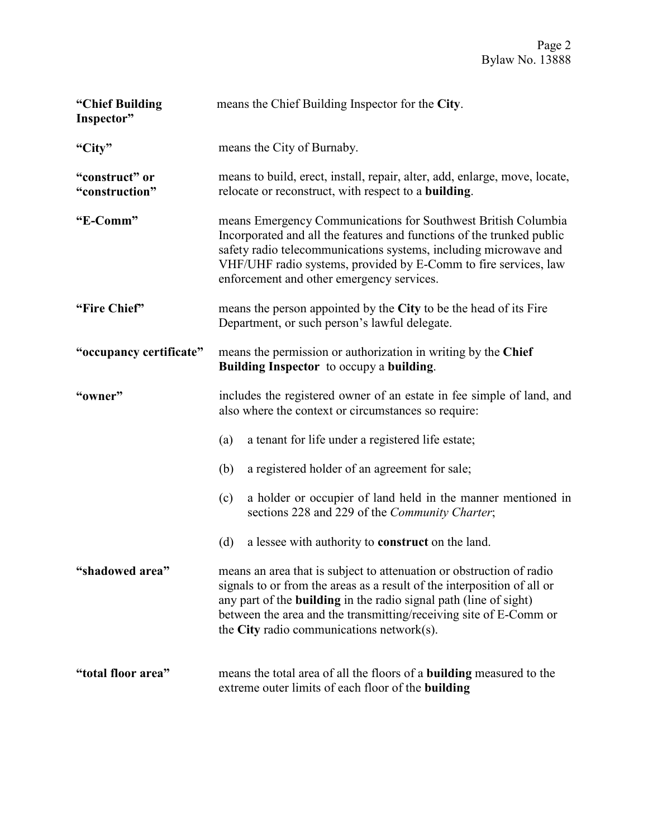| "Chief Building<br>Inspector"    | means the Chief Building Inspector for the City.                                                                                                                                                                                                                                                                           |                                                                                                                                                                                                                                                                                                                                                   |  |  |  |
|----------------------------------|----------------------------------------------------------------------------------------------------------------------------------------------------------------------------------------------------------------------------------------------------------------------------------------------------------------------------|---------------------------------------------------------------------------------------------------------------------------------------------------------------------------------------------------------------------------------------------------------------------------------------------------------------------------------------------------|--|--|--|
| "City"                           | means the City of Burnaby.                                                                                                                                                                                                                                                                                                 |                                                                                                                                                                                                                                                                                                                                                   |  |  |  |
| "construct" or<br>"construction" | means to build, erect, install, repair, alter, add, enlarge, move, locate,<br>relocate or reconstruct, with respect to a <b>building</b> .                                                                                                                                                                                 |                                                                                                                                                                                                                                                                                                                                                   |  |  |  |
| "E-Comm"                         | means Emergency Communications for Southwest British Columbia<br>Incorporated and all the features and functions of the trunked public<br>safety radio telecommunications systems, including microwave and<br>VHF/UHF radio systems, provided by E-Comm to fire services, law<br>enforcement and other emergency services. |                                                                                                                                                                                                                                                                                                                                                   |  |  |  |
| "Fire Chief"                     | means the person appointed by the City to be the head of its Fire<br>Department, or such person's lawful delegate.                                                                                                                                                                                                         |                                                                                                                                                                                                                                                                                                                                                   |  |  |  |
| "occupancy certificate"          | means the permission or authorization in writing by the Chief<br>Building Inspector to occupy a building.                                                                                                                                                                                                                  |                                                                                                                                                                                                                                                                                                                                                   |  |  |  |
| "owner"                          | includes the registered owner of an estate in fee simple of land, and<br>also where the context or circumstances so require:                                                                                                                                                                                               |                                                                                                                                                                                                                                                                                                                                                   |  |  |  |
|                                  | (a)                                                                                                                                                                                                                                                                                                                        | a tenant for life under a registered life estate;                                                                                                                                                                                                                                                                                                 |  |  |  |
|                                  | (b)                                                                                                                                                                                                                                                                                                                        | a registered holder of an agreement for sale;                                                                                                                                                                                                                                                                                                     |  |  |  |
|                                  | (c)                                                                                                                                                                                                                                                                                                                        | a holder or occupier of land held in the manner mentioned in<br>sections 228 and 229 of the Community Charter;                                                                                                                                                                                                                                    |  |  |  |
|                                  | (d)                                                                                                                                                                                                                                                                                                                        | a lessee with authority to <b>construct</b> on the land.                                                                                                                                                                                                                                                                                          |  |  |  |
| "shadowed area"                  |                                                                                                                                                                                                                                                                                                                            | means an area that is subject to attenuation or obstruction of radio<br>signals to or from the areas as a result of the interposition of all or<br>any part of the <b>building</b> in the radio signal path (line of sight)<br>between the area and the transmitting/receiving site of E-Comm or<br>the City radio communications network $(s)$ . |  |  |  |
| "total floor area"               |                                                                                                                                                                                                                                                                                                                            | means the total area of all the floors of a <b>building</b> measured to the<br>extreme outer limits of each floor of the <b>building</b>                                                                                                                                                                                                          |  |  |  |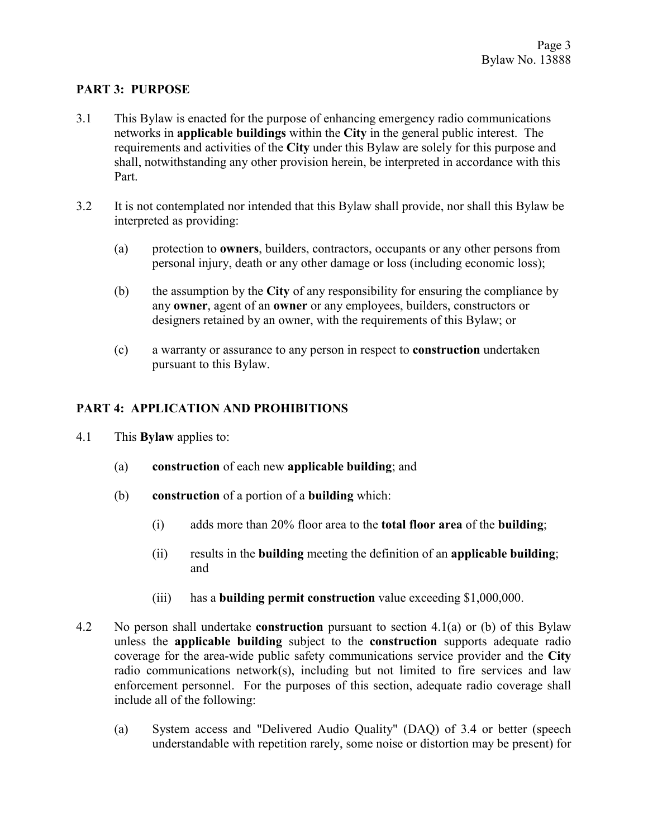## **PART 3: PURPOSE**

- 3.1 This Bylaw is enacted for the purpose of enhancing emergency radio communications networks in **applicable buildings** within the **City** in the general public interest. The requirements and activities of the **City** under this Bylaw are solely for this purpose and shall, notwithstanding any other provision herein, be interpreted in accordance with this Part.
- 3.2 It is not contemplated nor intended that this Bylaw shall provide, nor shall this Bylaw be interpreted as providing:
	- (a) protection to **owners**, builders, contractors, occupants or any other persons from personal injury, death or any other damage or loss (including economic loss);
	- (b) the assumption by the **City** of any responsibility for ensuring the compliance by any **owner**, agent of an **owner** or any employees, builders, constructors or designers retained by an owner, with the requirements of this Bylaw; or
	- (c) a warranty or assurance to any person in respect to **construction** undertaken pursuant to this Bylaw.

# **PART 4: APPLICATION AND PROHIBITIONS**

- 4.1 This **Bylaw** applies to:
	- (a) **construction** of each new **applicable building**; and
	- (b) **construction** of a portion of a **building** which:
		- (i) adds more than 20% floor area to the **total floor area** of the **building**;
		- (ii) results in the **building** meeting the definition of an **applicable building**; and
		- (iii) has a **building permit construction** value exceeding \$1,000,000.
- 4.2 No person shall undertake **construction** pursuant to section 4.1(a) or (b) of this Bylaw unless the **applicable building** subject to the **construction** supports adequate radio coverage for the area-wide public safety communications service provider and the **City**  radio communications network(s), including but not limited to fire services and law enforcement personnel. For the purposes of this section, adequate radio coverage shall include all of the following:
	- (a) System access and "Delivered Audio Quality" (DAQ) of 3.4 or better (speech understandable with repetition rarely, some noise or distortion may be present) for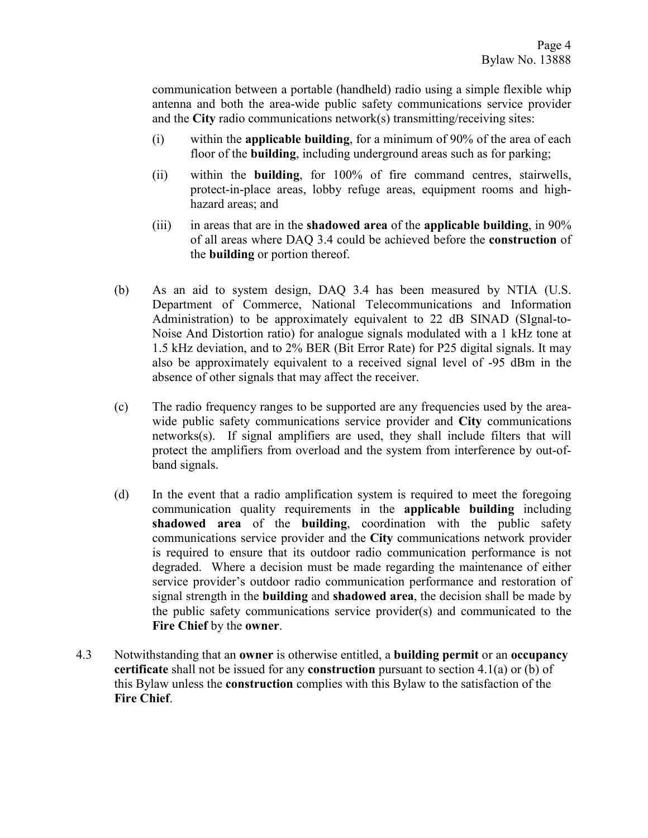communication between a portable (handheld) radio using a simple flexible whip antenna and both the area-wide public safety communications service provider and the **City** radio communications network(s) transmitting/receiving sites:

- (i) within the **applicable building**, for a minimum of 90% of the area of each floor of the **building**, including underground areas such as for parking;
- (ii) within the **building**, for 100% of fire command centres, stairwells, protect-in-place areas, lobby refuge areas, equipment rooms and highhazard areas; and
- (iii) in areas that are in the **shadowed area** of the **applicable building**, in 90% of all areas where DAQ 3.4 could be achieved before the **construction** of the **building** or portion thereof.
- (b) As an aid to system design, DAQ 3.4 has been measured by NTIA (U.S. Department of Commerce, National Telecommunications and Information Administration) to be approximately equivalent to 22 dB SINAD (SIgnal-to-Noise And Distortion ratio) for analogue signals modulated with a 1 kHz tone at 1.5 kHz deviation, and to 2% BER (Bit Error Rate) for P25 digital signals. It may also be approximately equivalent to a received signal level of -95 dBm in the absence of other signals that may affect the receiver.
- (c) The radio frequency ranges to be supported are any frequencies used by the areawide public safety communications service provider and **City** communications networks(s). If signal amplifiers are used, they shall include filters that will protect the amplifiers from overload and the system from interference by out-ofband signals.
- (d) In the event that a radio amplification system is required to meet the foregoing communication quality requirements in the **applicable building** including **shadowed area** of the **building**, coordination with the public safety communications service provider and the **City** communications network provider is required to ensure that its outdoor radio communication performance is not degraded. Where a decision must be made regarding the maintenance of either service provider's outdoor radio communication performance and restoration of signal strength in the **building** and **shadowed area**, the decision shall be made by the public safety communications service provider(s) and communicated to the **Fire Chief** by the **owner**.
- 4.3 Notwithstanding that an **owner** is otherwise entitled, a **building permit** or an **occupancy certificate** shall not be issued for any **construction** pursuant to section 4.1(a) or (b) of this Bylaw unless the **construction** complies with this Bylaw to the satisfaction of the **Fire Chief**.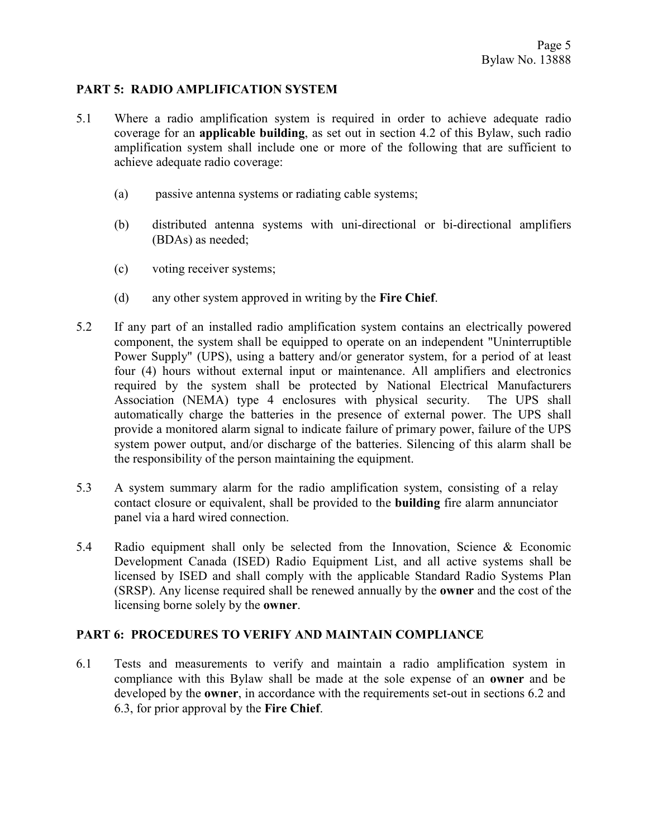## **PART 5: RADIO AMPLIFICATION SYSTEM**

- 5.1 Where a radio amplification system is required in order to achieve adequate radio coverage for an **applicable building**, as set out in section 4.2 of this Bylaw, such radio amplification system shall include one or more of the following that are sufficient to achieve adequate radio coverage:
	- (a) passive antenna systems or radiating cable systems;
	- (b) distributed antenna systems with uni-directional or bi-directional amplifiers (BDAs) as needed;
	- (c) voting receiver systems;
	- (d) any other system approved in writing by the **Fire Chief**.
- 5.2 If any part of an installed radio amplification system contains an electrically powered component, the system shall be equipped to operate on an independent "Uninterruptible Power Supply" (UPS), using a battery and/or generator system, for a period of at least four (4) hours without external input or maintenance. All amplifiers and electronics required by the system shall be protected by National Electrical Manufacturers Association (NEMA) type 4 enclosures with physical security. The UPS shall automatically charge the batteries in the presence of external power. The UPS shall provide a monitored alarm signal to indicate failure of primary power, failure of the UPS system power output, and/or discharge of the batteries. Silencing of this alarm shall be the responsibility of the person maintaining the equipment.
- 5.3 A system summary alarm for the radio amplification system, consisting of a relay contact closure or equivalent, shall be provided to the **building** fire alarm annunciator panel via a hard wired connection.
- 5.4 Radio equipment shall only be selected from the Innovation, Science & Economic Development Canada (ISED) Radio Equipment List, and all active systems shall be licensed by ISED and shall comply with the applicable Standard Radio Systems Plan (SRSP). Any license required shall be renewed annually by the **owner** and the cost of the licensing borne solely by the **owner**.

### **PART 6: PROCEDURES TO VERIFY AND MAINTAIN COMPLIANCE**

6.1 Tests and measurements to verify and maintain a radio amplification system in compliance with this Bylaw shall be made at the sole expense of an **owner** and be developed by the **owner**, in accordance with the requirements set-out in sections 6.2 and 6.3, for prior approval by the **Fire Chief**.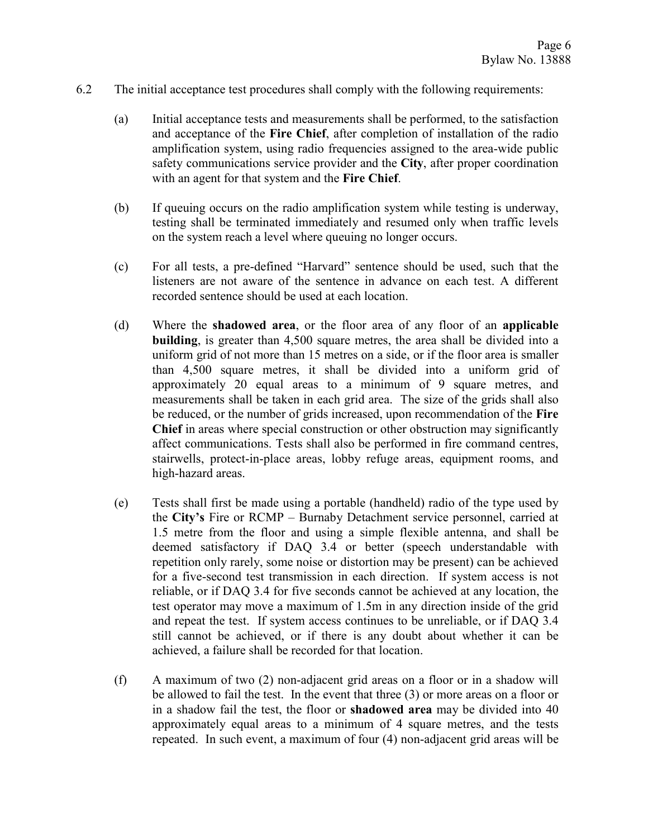- 6.2 The initial acceptance test procedures shall comply with the following requirements:
	- (a) Initial acceptance tests and measurements shall be performed, to the satisfaction and acceptance of the **Fire Chief**, after completion of installation of the radio amplification system, using radio frequencies assigned to the area-wide public safety communications service provider and the **City**, after proper coordination with an agent for that system and the **Fire Chief**.
	- (b) If queuing occurs on the radio amplification system while testing is underway, testing shall be terminated immediately and resumed only when traffic levels on the system reach a level where queuing no longer occurs.
	- (c) For all tests, a pre-defined "Harvard" sentence should be used, such that the listeners are not aware of the sentence in advance on each test. A different recorded sentence should be used at each location.
	- (d) Where the **shadowed area**, or the floor area of any floor of an **applicable building**, is greater than 4,500 square metres, the area shall be divided into a uniform grid of not more than 15 metres on a side, or if the floor area is smaller than 4,500 square metres, it shall be divided into a uniform grid of approximately 20 equal areas to a minimum of 9 square metres, and measurements shall be taken in each grid area. The size of the grids shall also be reduced, or the number of grids increased, upon recommendation of the **Fire Chief** in areas where special construction or other obstruction may significantly affect communications. Tests shall also be performed in fire command centres, stairwells, protect-in-place areas, lobby refuge areas, equipment rooms, and high-hazard areas.
	- (e) Tests shall first be made using a portable (handheld) radio of the type used by the **City's** Fire or RCMP – Burnaby Detachment service personnel, carried at 1.5 metre from the floor and using a simple flexible antenna, and shall be deemed satisfactory if DAQ 3.4 or better (speech understandable with repetition only rarely, some noise or distortion may be present) can be achieved for a five-second test transmission in each direction. If system access is not reliable, or if DAQ 3.4 for five seconds cannot be achieved at any location, the test operator may move a maximum of 1.5m in any direction inside of the grid and repeat the test. If system access continues to be unreliable, or if DAQ 3.4 still cannot be achieved, or if there is any doubt about whether it can be achieved, a failure shall be recorded for that location.
	- (f) A maximum of two (2) non-adjacent grid areas on a floor or in a shadow will be allowed to fail the test. In the event that three (3) or more areas on a floor or in a shadow fail the test, the floor or **shadowed area** may be divided into 40 approximately equal areas to a minimum of 4 square metres, and the tests repeated. In such event, a maximum of four (4) non-adjacent grid areas will be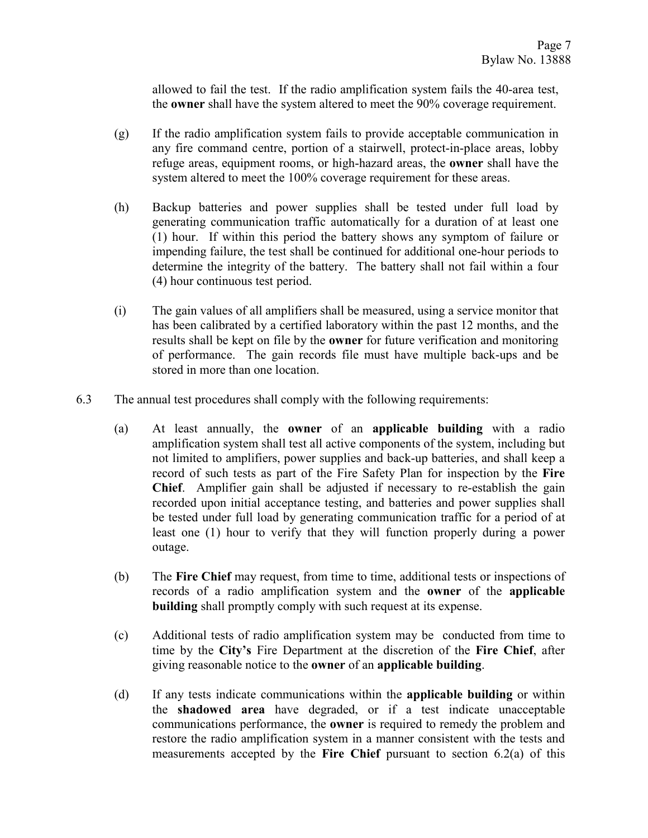allowed to fail the test. If the radio amplification system fails the 40-area test, the **owner** shall have the system altered to meet the 90% coverage requirement.

- (g) If the radio amplification system fails to provide acceptable communication in any fire command centre, portion of a stairwell, protect-in-place areas, lobby refuge areas, equipment rooms, or high-hazard areas, the **owner** shall have the system altered to meet the 100% coverage requirement for these areas.
- (h) Backup batteries and power supplies shall be tested under full load by generating communication traffic automatically for a duration of at least one (1) hour. If within this period the battery shows any symptom of failure or impending failure, the test shall be continued for additional one-hour periods to determine the integrity of the battery. The battery shall not fail within a four (4) hour continuous test period.
- (i) The gain values of all amplifiers shall be measured, using a service monitor that has been calibrated by a certified laboratory within the past 12 months, and the results shall be kept on file by the **owner** for future verification and monitoring of performance. The gain records file must have multiple back-ups and be stored in more than one location.
- 6.3 The annual test procedures shall comply with the following requirements:
	- (a) At least annually, the **owner** of an **applicable building** with a radio amplification system shall test all active components of the system, including but not limited to amplifiers, power supplies and back-up batteries, and shall keep a record of such tests as part of the Fire Safety Plan for inspection by the **Fire Chief**. Amplifier gain shall be adjusted if necessary to re-establish the gain recorded upon initial acceptance testing, and batteries and power supplies shall be tested under full load by generating communication traffic for a period of at least one (1) hour to verify that they will function properly during a power outage.
	- (b) The **Fire Chief** may request, from time to time, additional tests or inspections of records of a radio amplification system and the **owner** of the **applicable building** shall promptly comply with such request at its expense.
	- (c) Additional tests of radio amplification system may be conducted from time to time by the **City's** Fire Department at the discretion of the **Fire Chief**, after giving reasonable notice to the **owner** of an **applicable building**.
	- (d) If any tests indicate communications within the **applicable building** or within the **shadowed area** have degraded, or if a test indicate unacceptable communications performance, the **owner** is required to remedy the problem and restore the radio amplification system in a manner consistent with the tests and measurements accepted by the **Fire Chief** pursuant to section 6.2(a) of this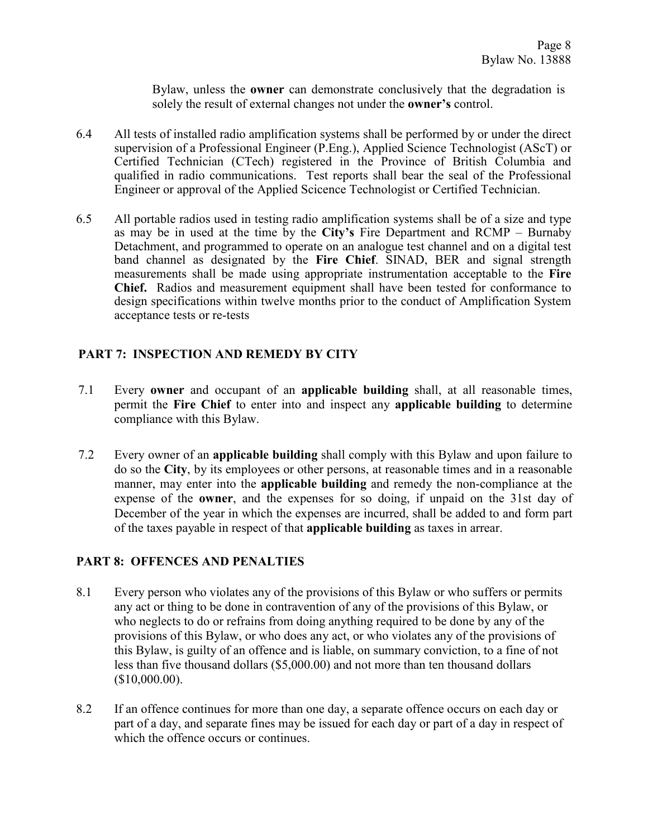Bylaw, unless the **owner** can demonstrate conclusively that the degradation is solely the result of external changes not under the **owner's** control.

- 6.4 All tests of installed radio amplification systems shall be performed by or under the direct supervision of a Professional Engineer (P.Eng.), Applied Science Technologist (AScT) or Certified Technician (CTech) registered in the Province of British Columbia and qualified in radio communications. Test reports shall bear the seal of the Professional Engineer or approval of the Applied Scicence Technologist or Certified Technician.
- 6.5 All portable radios used in testing radio amplification systems shall be of a size and type as may be in used at the time by the **City's** Fire Department and RCMP – Burnaby Detachment, and programmed to operate on an analogue test channel and on a digital test band channel as designated by the **Fire Chief**. SINAD, BER and signal strength measurements shall be made using appropriate instrumentation acceptable to the **Fire Chief.** Radios and measurement equipment shall have been tested for conformance to design specifications within twelve months prior to the conduct of Amplification System acceptance tests or re-tests

# **PART 7: INSPECTION AND REMEDY BY CITY**

- 7.1 Every **owner** and occupant of an **applicable building** shall, at all reasonable times, permit the **Fire Chief** to enter into and inspect any **applicable building** to determine compliance with this Bylaw.
- 7.2 Every owner of an **applicable building** shall comply with this Bylaw and upon failure to do so the **City**, by its employees or other persons, at reasonable times and in a reasonable manner, may enter into the **applicable building** and remedy the non-compliance at the expense of the **owner**, and the expenses for so doing, if unpaid on the 31st day of December of the year in which the expenses are incurred, shall be added to and form part of the taxes payable in respect of that **applicable building** as taxes in arrear.

### **PART 8: OFFENCES AND PENALTIES**

- 8.1 Every person who violates any of the provisions of this Bylaw or who suffers or permits any act or thing to be done in contravention of any of the provisions of this Bylaw, or who neglects to do or refrains from doing anything required to be done by any of the provisions of this Bylaw, or who does any act, or who violates any of the provisions of this Bylaw, is guilty of an offence and is liable, on summary conviction, to a fine of not less than five thousand dollars (\$5,000.00) and not more than ten thousand dollars (\$10,000.00).
- 8.2 If an offence continues for more than one day, a separate offence occurs on each day or part of a day, and separate fines may be issued for each day or part of a day in respect of which the offence occurs or continues.